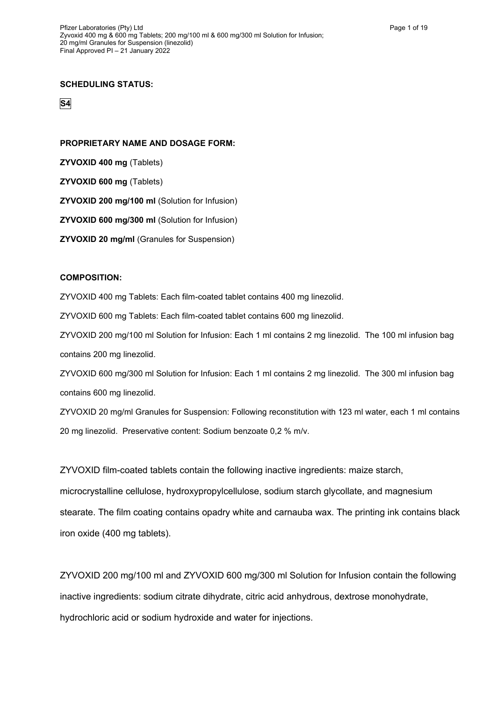### **SCHEDULING STATUS:**

**S4**

### **PROPRIETARY NAME AND DOSAGE FORM:**

**ZYVOXID 400 mg** (Tablets)

**ZYVOXID 600 mg** (Tablets)

**ZYVOXID 200 mg/100 ml** (Solution for Infusion)

**ZYVOXID 600 mg/300 ml** (Solution for Infusion)

**ZYVOXID 20 mg/ml** (Granules for Suspension)

### **COMPOSITION:**

ZYVOXID 400 mg Tablets: Each film-coated tablet contains 400 mg linezolid.

ZYVOXID 600 mg Tablets: Each film-coated tablet contains 600 mg linezolid.

ZYVOXID 200 mg/100 ml Solution for Infusion: Each 1 ml contains 2 mg linezolid. The 100 ml infusion bag contains 200 mg linezolid.

ZYVOXID 600 mg/300 ml Solution for Infusion: Each 1 ml contains 2 mg linezolid. The 300 ml infusion bag contains 600 mg linezolid.

ZYVOXID 20 mg/ml Granules for Suspension: Following reconstitution with 123 ml water, each 1 ml contains 20 mg linezolid. Preservative content: Sodium benzoate 0,2 % m/v.

ZYVOXID film-coated tablets contain the following inactive ingredients: maize starch, microcrystalline cellulose, hydroxypropylcellulose, sodium starch glycollate, and magnesium stearate. The film coating contains opadry white and carnauba wax. The printing ink contains black iron oxide (400 mg tablets).

ZYVOXID 200 mg/100 ml and ZYVOXID 600 mg/300 ml Solution for Infusion contain the following inactive ingredients: sodium citrate dihydrate, citric acid anhydrous, dextrose monohydrate, hydrochloric acid or sodium hydroxide and water for injections.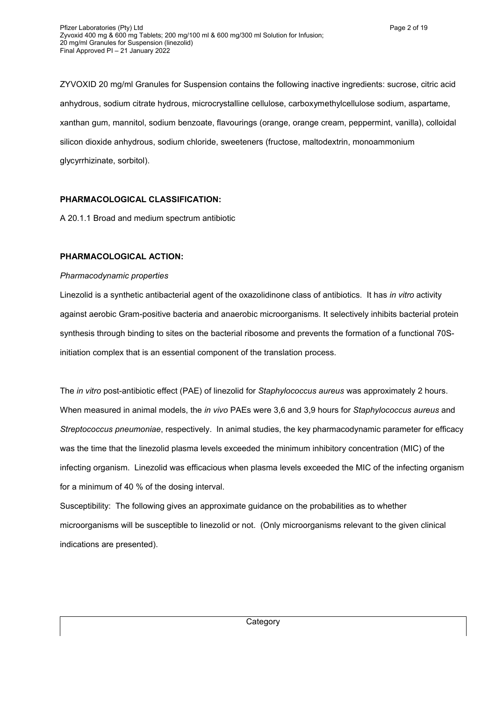ZYVOXID 20 mg/ml Granules for Suspension contains the following inactive ingredients: sucrose, citric acid anhydrous, sodium citrate hydrous, microcrystalline cellulose, carboxymethylcellulose sodium, aspartame, xanthan gum, mannitol, sodium benzoate, flavourings (orange, orange cream, peppermint, vanilla), colloidal silicon dioxide anhydrous, sodium chloride, sweeteners (fructose, maltodextrin, monoammonium glycyrrhizinate, sorbitol).

## **PHARMACOLOGICAL CLASSIFICATION:**

A 20.1.1 Broad and medium spectrum antibiotic

## **PHARMACOLOGICAL ACTION:**

### *Pharmacodynamic properties*

Linezolid is a synthetic antibacterial agent of the oxazolidinone class of antibiotics. It has *in vitro* activity against aerobic Gram-positive bacteria and anaerobic microorganisms. It selectively inhibits bacterial protein synthesis through binding to sites on the bacterial ribosome and prevents the formation of a functional 70Sinitiation complex that is an essential component of the translation process.

The *in vitro* post-antibiotic effect (PAE) of linezolid for *Staphylococcus aureus* was approximately 2 hours. When measured in animal models, the *in vivo* PAEs were 3,6 and 3,9 hours for *Staphylococcus aureus* and *Streptococcus pneumoniae*, respectively. In animal studies, the key pharmacodynamic parameter for efficacy was the time that the linezolid plasma levels exceeded the minimum inhibitory concentration (MIC) of the infecting organism. Linezolid was efficacious when plasma levels exceeded the MIC of the infecting organism for a minimum of 40 % of the dosing interval.

Susceptibility: The following gives an approximate guidance on the probabilities as to whether microorganisms will be susceptible to linezolid or not. (Only microorganisms relevant to the given clinical indications are presented).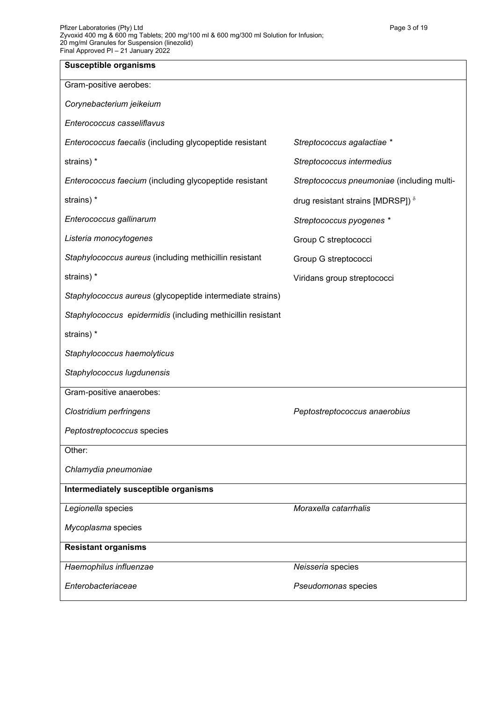| <b>Susceptible organisms</b>                                |                                            |
|-------------------------------------------------------------|--------------------------------------------|
| Gram-positive aerobes:                                      |                                            |
| Corynebacterium jeikeium                                    |                                            |
| Enterococcus casseliflavus                                  |                                            |
| Enterococcus faecalis (including glycopeptide resistant     | Streptococcus agalactiae *                 |
| strains) *                                                  | Streptococcus intermedius                  |
| Enterococcus faecium (including glycopeptide resistant      | Streptococcus pneumoniae (including multi- |
| strains) *                                                  | drug resistant strains [MDRSP]) $\delta$   |
| Enterococcus gallinarum                                     | Streptococcus pyogenes *                   |
| Listeria monocytogenes                                      | Group C streptococci                       |
| Staphylococcus aureus (including methicillin resistant      | Group G streptococci                       |
| strains) *                                                  | Viridans group streptococci                |
| Staphylococcus aureus (glycopeptide intermediate strains)   |                                            |
| Staphylococcus epidermidis (including methicillin resistant |                                            |
| strains) *                                                  |                                            |
| Staphylococcus haemolyticus                                 |                                            |
| Staphylococcus lugdunensis                                  |                                            |
| Gram-positive anaerobes:                                    |                                            |
| Clostridium perfringens                                     | Peptostreptococcus anaerobius              |
| Peptostreptococcus species                                  |                                            |
| Other:                                                      |                                            |
| Chlamydia pneumoniae                                        |                                            |
| Intermediately susceptible organisms                        |                                            |
| Legionella species                                          | Moraxella catarrhalis                      |
| Mycoplasma species                                          |                                            |
| <b>Resistant organisms</b>                                  |                                            |
| Haemophilus influenzae                                      | Neisseria species                          |
| Enterobacteriaceae                                          | Pseudomonas species                        |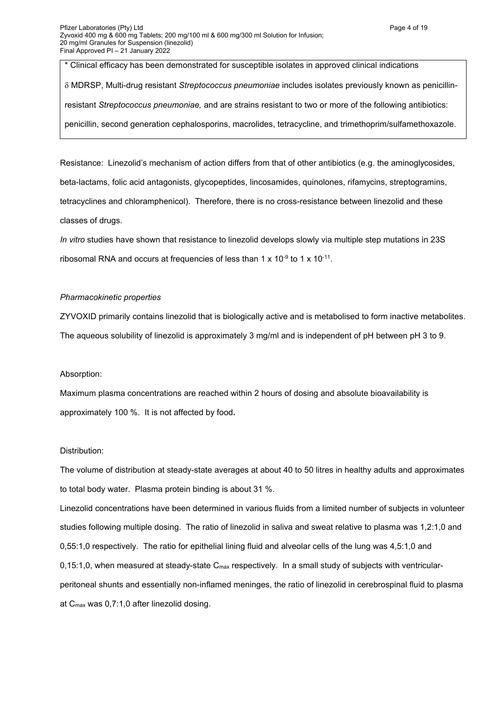\* Clinical efficacy has been demonstrated for susceptible isolates in approved clinical indications

 MDRSP, Multi-drug resistant *Streptococcus pneumoniae* includes isolates previously known as penicillinresistant *Streptococcus pneumoniae,* and are strains resistant to two or more of the following antibiotics: penicillin, second generation cephalosporins, macrolides, tetracycline, and trimethoprim/sulfamethoxazole.

Resistance: Linezolid's mechanism of action differs from that of other antibiotics (e.g. the aminoglycosides, beta-lactams, folic acid antagonists, glycopeptides, lincosamides, quinolones, rifamycins, streptogramins, tetracyclines and chloramphenicol). Therefore, there is no cross-resistance between linezolid and these classes of drugs.

*In vitro* studies have shown that resistance to linezolid develops slowly via multiple step mutations in 23S ribosomal RNA and occurs at frequencies of less than 1 x 10 $\cdot$ 9 to 1 x 10 $\cdot$ 11.

### *Pharmacokinetic properties*

ZYVOXID primarily contains linezolid that is biologically active and is metabolised to form inactive metabolites. The aqueous solubility of linezolid is approximately 3 mg/ml and is independent of pH between pH 3 to 9.

### Absorption:

Maximum plasma concentrations are reached within 2 hours of dosing and absolute bioavailability is approximately 100 %. It is not affected by food**.**

### Distribution:

The volume of distribution at steady-state averages at about 40 to 50 litres in healthy adults and approximates to total body water. Plasma protein binding is about 31 %.

Linezolid concentrations have been determined in various fluids from a limited number of subjects in volunteer studies following multiple dosing. The ratio of linezolid in saliva and sweat relative to plasma was 1,2:1,0 and 0,55:1,0 respectively. The ratio for epithelial lining fluid and alveolar cells of the lung was 4,5:1,0 and 0,15:1,0, when measured at steady-state  $C_{\text{max}}$  respectively. In a small study of subjects with ventricularperitoneal shunts and essentially non-inflamed meninges, the ratio of linezolid in cerebrospinal fluid to plasma at Cmax was 0,7:1,0 after linezolid dosing.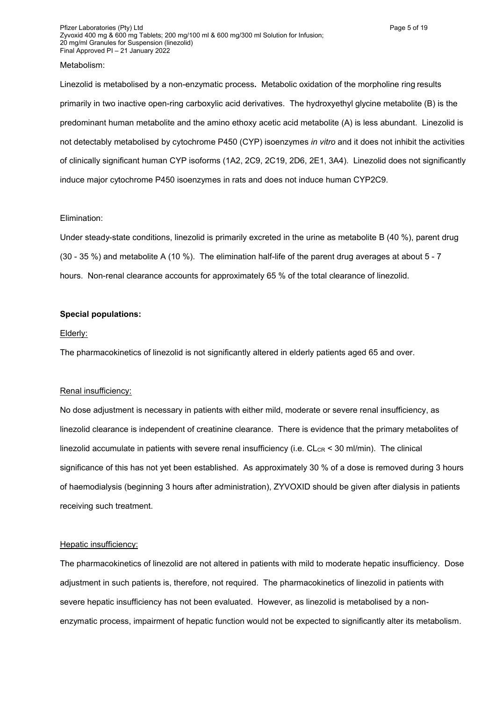### Metabolism:

Linezolid is metabolised by a non-enzymatic process*.* Metabolic oxidation of the morpholine ring results primarily in two inactive open-ring carboxylic acid derivatives. The hydroxyethyl glycine metabolite (B) is the predominant human metabolite and the amino ethoxy acetic acid metabolite (A) is less abundant. Linezolid is not detectably metabolised by cytochrome P450 (CYP) isoenzymes *in vitro* and it does not inhibit the activities of clinically significant human CYP isoforms (1A2, 2C9, 2C19, 2D6, 2E1, 3A4). Linezolid does not significantly induce major cytochrome P450 isoenzymes in rats and does not induce human CYP2C9.

### Elimination:

Under steady-state conditions, linezolid is primarily excreted in the urine as metabolite B (40 %), parent drug (30 - 35 %) and metabolite A (10 %). The elimination half-life of the parent drug averages at about 5 - 7 hours. Non-renal clearance accounts for approximately 65 % of the total clearance of linezolid.

## **Special populations:**

#### Elderly:

The pharmacokinetics of linezolid is not significantly altered in elderly patients aged 65 and over.

#### Renal insufficiency:

No dose adjustment is necessary in patients with either mild, moderate or severe renal insufficiency, as linezolid clearance is independent of creatinine clearance. There is evidence that the primary metabolites of linezolid accumulate in patients with severe renal insufficiency (i.e.  $CL_{CR}$  < 30 ml/min). The clinical significance of this has not yet been established. As approximately 30 % of a dose is removed during 3 hours of haemodialysis (beginning 3 hours after administration), ZYVOXID should be given after dialysis in patients receiving such treatment.

#### Hepatic insufficiency:

The pharmacokinetics of linezolid are not altered in patients with mild to moderate hepatic insufficiency. Dose adjustment in such patients is, therefore, not required. The pharmacokinetics of linezolid in patients with severe hepatic insufficiency has not been evaluated. However, as linezolid is metabolised by a nonenzymatic process, impairment of hepatic function would not be expected to significantly alter its metabolism.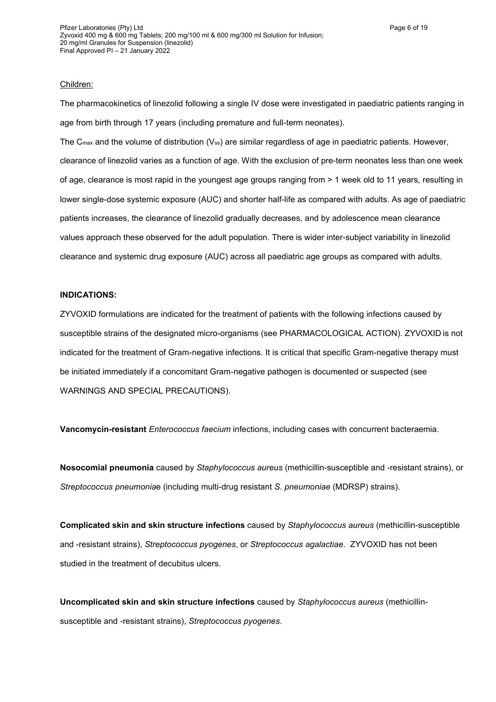#### Children:

The pharmacokinetics of linezolid following a single IV dose were investigated in paediatric patients ranging in age from birth through 17 years (including premature and full-term neonates).

The  $C_{\text{max}}$  and the volume of distribution ( $V_{\text{ss}}$ ) are similar regardless of age in paediatric patients. However, clearance of linezolid varies as a function of age. With the exclusion of pre-term neonates less than one week of age, clearance is most rapid in the youngest age groups ranging from > 1 week old to 11 years, resulting in lower single-dose systemic exposure (AUC) and shorter half-life as compared with adults. As age of paediatric patients increases, the clearance of linezolid gradually decreases, and by adolescence mean clearance values approach these observed for the adult population. There is wider inter-subject variability in linezolid clearance and systemic drug exposure (AUC) across all paediatric age groups as compared with adults.

### **INDICATIONS:**

ZYVOXID formulations are indicated for the treatment of patients with the following infections caused by susceptible strains of the designated micro-organisms (see PHARMACOLOGICAL ACTION). ZYVOXID is not indicated for the treatment of Gram-negative infections. It is critical that specific Gram-negative therapy must be initiated immediately if a concomitant Gram-negative pathogen is documented or suspected (see WARNINGS AND SPECIAL PRECAUTIONS).

**Vancomycin-resistant** *Enterococcus faecium* infections, including cases with concurrent bacteraemia.

**Nosocomial pneumonia** caused by *Staphylococcus aureus* (methicillin-susceptible and -resistant strains), or *Streptococcus pneumonia*e (including multi-drug resistant *S. pneumoniae* (MDRSP) strains).

**Complicated skin and skin structure infections** caused by *Staphylococcus aureus* (methicillin-susceptible and -resistant strains), *Streptococcus pyogenes*, or *Streptococcus agalactiae*. ZYVOXID has not been studied in the treatment of decubitus ulcers.

**Uncomplicated skin and skin structure infections** caused by *Staphylococcus aureus* (methicillinsusceptible and -resistant strains), *Streptococcus pyogenes*.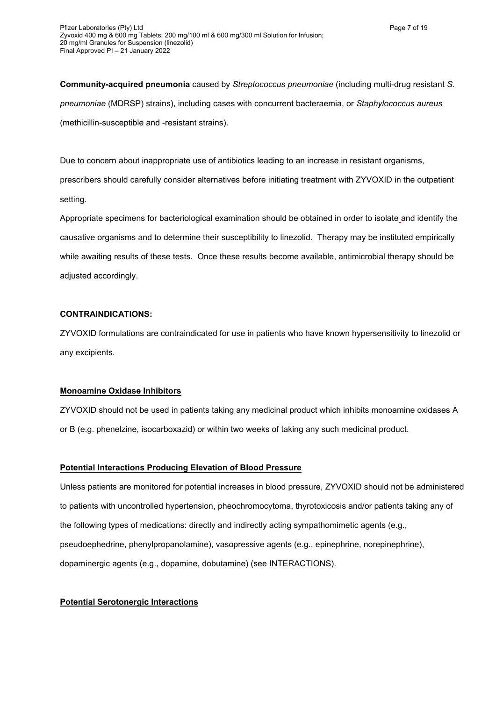**Community-acquired pneumonia** caused by *Streptococcus pneumoniae* (including multi-drug resistant *S. pneumoniae* (MDRSP) strains), including cases with concurrent bacteraemia, or *Staphylococcus aureus* (methicillin-susceptible and -resistant strains).

Due to concern about inappropriate use of antibiotics leading to an increase in resistant organisms, prescribers should carefully consider alternatives before initiating treatment with ZYVOXID in the outpatient setting.

Appropriate specimens for bacteriological examination should be obtained in order to isolate and identify the causative organisms and to determine their susceptibility to linezolid. Therapy may be instituted empirically while awaiting results of these tests. Once these results become available, antimicrobial therapy should be adjusted accordingly.

## **CONTRAINDICATIONS:**

ZYVOXID formulations are contraindicated for use in patients who have known hypersensitivity to linezolid or any excipients.

## **Monoamine Oxidase Inhibitors**

ZYVOXID should not be used in patients taking any medicinal product which inhibits monoamine oxidases A or B (e.g. phenelzine, isocarboxazid) or within two weeks of taking any such medicinal product.

## **Potential Interactions Producing Elevation of Blood Pressure**

Unless patients are monitored for potential increases in blood pressure, ZYVOXID should not be administered to patients with uncontrolled hypertension, pheochromocytoma, thyrotoxicosis and/or patients taking any of the following types of medications: directly and indirectly acting sympathomimetic agents (e.g., pseudoephedrine, phenylpropanolamine), vasopressive agents (e.g., epinephrine, norepinephrine), dopaminergic agents (e.g., dopamine, dobutamine) (see INTERACTIONS).

## **Potential Serotonergic Interactions**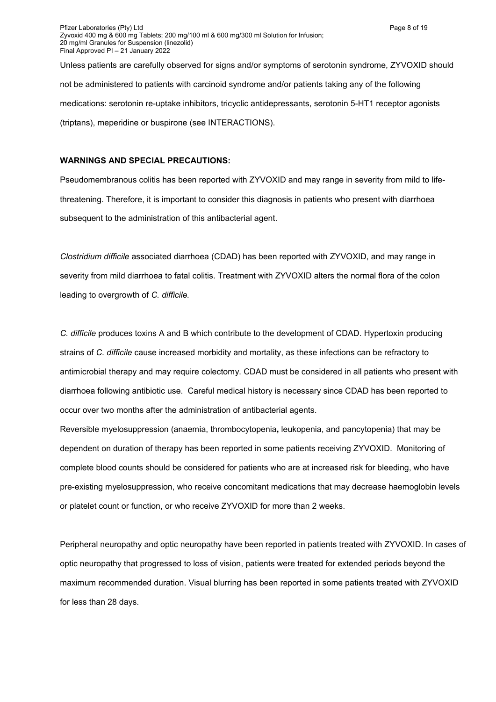Unless patients are carefully observed for signs and/or symptoms of serotonin syndrome, ZYVOXID should not be administered to patients with carcinoid syndrome and/or patients taking any of the following medications: serotonin re-uptake inhibitors, tricyclic antidepressants, serotonin 5-HT1 receptor agonists (triptans), meperidine or buspirone (see INTERACTIONS).

### **WARNINGS AND SPECIAL PRECAUTIONS:**

Pseudomembranous colitis has been reported with ZYVOXID and may range in severity from mild to lifethreatening. Therefore, it is important to consider this diagnosis in patients who present with diarrhoea subsequent to the administration of this antibacterial agent.

*Clostridium difficile* associated diarrhoea (CDAD) has been reported with ZYVOXID, and may range in severity from mild diarrhoea to fatal colitis. Treatment with ZYVOXID alters the normal flora of the colon leading to overgrowth of *C. difficile.*

*C. difficile* produces toxins A and B which contribute to the development of CDAD. Hypertoxin producing strains of *C. difficile* cause increased morbidity and mortality, as these infections can be refractory to antimicrobial therapy and may require colectomy. CDAD must be considered in all patients who present with diarrhoea following antibiotic use. Careful medical history is necessary since CDAD has been reported to occur over two months after the administration of antibacterial agents.

Reversible myelosuppression (anaemia, thrombocytopenia**,** leukopenia, and pancytopenia) that may be dependent on duration of therapy has been reported in some patients receiving ZYVOXID.Monitoring of complete blood counts should be considered for patients who are at increased risk for bleeding, who have pre-existing myelosuppression, who receive concomitant medications that may decrease haemoglobin levels or platelet count or function, or who receive ZYVOXID for more than 2 weeks.

Peripheral neuropathy and optic neuropathy have been reported in patients treated with ZYVOXID. In cases of optic neuropathy that progressed to loss of vision, patients were treated for extended periods beyond the maximum recommended duration. Visual blurring has been reported in some patients treated with ZYVOXID for less than 28 days.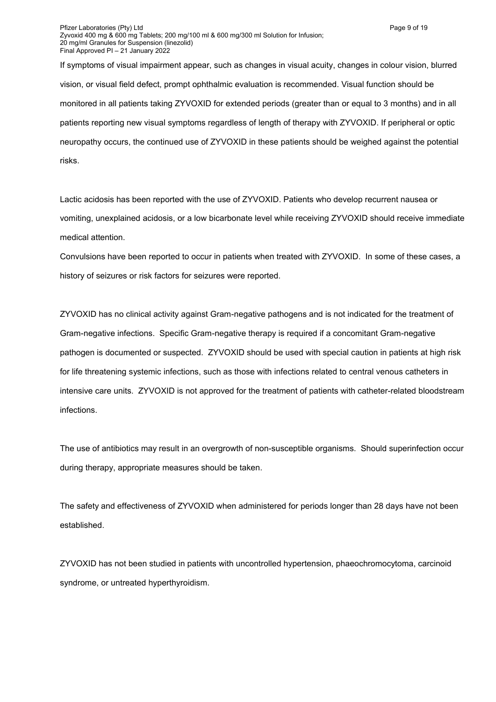If symptoms of visual impairment appear, such as changes in visual acuity, changes in colour vision, blurred vision, or visual field defect, prompt ophthalmic evaluation is recommended. Visual function should be monitored in all patients taking ZYVOXID for extended periods (greater than or equal to 3 months) and in all patients reporting new visual symptoms regardless of length of therapy with ZYVOXID. If peripheral or optic neuropathy occurs, the continued use of ZYVOXID in these patients should be weighed against the potential risks.

Lactic acidosis has been reported with the use of ZYVOXID. Patients who develop recurrent nausea or vomiting, unexplained acidosis, or a low bicarbonate level while receiving ZYVOXID should receive immediate medical attention.

Convulsions have been reported to occur in patients when treated with ZYVOXID. In some of these cases, a history of seizures or risk factors for seizures were reported.

ZYVOXID has no clinical activity against Gram-negative pathogens and is not indicated for the treatment of Gram-negative infections. Specific Gram-negative therapy is required if a concomitant Gram-negative pathogen is documented or suspected. ZYVOXID should be used with special caution in patients at high risk for life threatening systemic infections, such as those with infections related to central venous catheters in intensive care units. ZYVOXID is not approved for the treatment of patients with catheter-related bloodstream infections.

The use of antibiotics may result in an overgrowth of non-susceptible organisms. Should superinfection occur during therapy, appropriate measures should be taken.

The safety and effectiveness of ZYVOXID when administered for periods longer than 28 days have not been established.

ZYVOXID has not been studied in patients with uncontrolled hypertension, phaeochromocytoma, carcinoid syndrome, or untreated hyperthyroidism.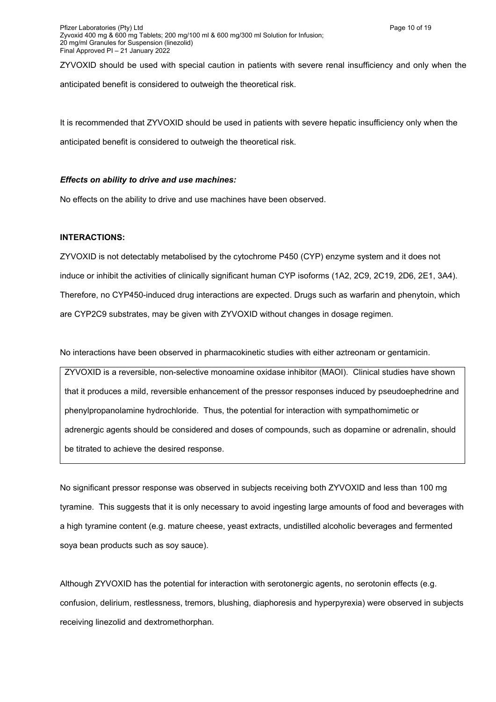ZYVOXID should be used with special caution in patients with severe renal insufficiency and only when the anticipated benefit is considered to outweigh the theoretical risk.

It is recommended that ZYVOXID should be used in patients with severe hepatic insufficiency only when the anticipated benefit is considered to outweigh the theoretical risk.

### *Effects on ability to drive and use machines:*

No effects on the ability to drive and use machines have been observed.

### **INTERACTIONS:**

ZYVOXID is not detectably metabolised by the cytochrome P450 (CYP) enzyme system and it does not induce or inhibit the activities of clinically significant human CYP isoforms (1A2, 2C9, 2C19, 2D6, 2E1, 3A4). Therefore, no CYP450-induced drug interactions are expected. Drugs such as warfarin and phenytoin, which are CYP2C9 substrates, may be given with ZYVOXID without changes in dosage regimen.

No interactions have been observed in pharmacokinetic studies with either aztreonam or gentamicin.

ZYVOXID is a reversible, non-selective monoamine oxidase inhibitor (MAOI). Clinical studies have shown that it produces a mild, reversible enhancement of the pressor responses induced by pseudoephedrine and phenylpropanolamine hydrochloride. Thus, the potential for interaction with sympathomimetic or adrenergic agents should be considered and doses of compounds, such as dopamine or adrenalin, should be titrated to achieve the desired response.

No significant pressor response was observed in subjects receiving both ZYVOXID and less than 100 mg tyramine. This suggests that it is only necessary to avoid ingesting large amounts of food and beverages with a high tyramine content (e.g. mature cheese, yeast extracts, undistilled alcoholic beverages and fermented soya bean products such as soy sauce).

Although ZYVOXID has the potential for interaction with serotonergic agents, no serotonin effects (e.g. confusion, delirium, restlessness, tremors, blushing, diaphoresis and hyperpyrexia) were observed in subjects receiving linezolid and dextromethorphan.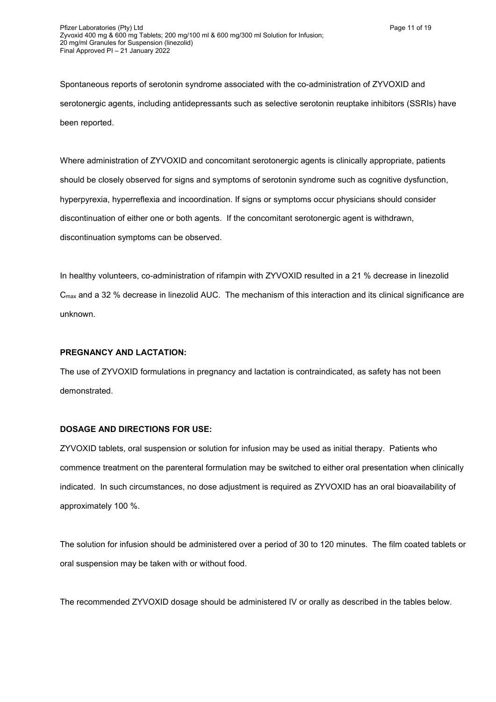Where administration of ZYVOXID and concomitant serotonergic agents is clinically appropriate, patients should be closely observed for signs and symptoms of serotonin syndrome such as cognitive dysfunction, hyperpyrexia, hyperreflexia and incoordination. If signs or symptoms occur physicians should consider discontinuation of either one or both agents. If the concomitant serotonergic agent is withdrawn, discontinuation symptoms can be observed.

In healthy volunteers, co-administration of rifampin with ZYVOXID resulted in a 21 % decrease in linezolid C<sub>max</sub> and a 32 % decrease in linezolid AUC. The mechanism of this interaction and its clinical significance are unknown.

## **PREGNANCY AND LACTATION:**

The use of ZYVOXID formulations in pregnancy and lactation is contraindicated, as safety has not been demonstrated.

## **DOSAGE AND DIRECTIONS FOR USE:**

ZYVOXID tablets, oral suspension or solution for infusion may be used as initial therapy. Patients who commence treatment on the parenteral formulation may be switched to either oral presentation when clinically indicated. In such circumstances, no dose adjustment is required as ZYVOXID has an oral bioavailability of approximately 100 %.

The solution for infusion should be administered over a period of 30 to 120 minutes. The film coated tablets or oral suspension may be taken with or without food.

The recommended ZYVOXID dosage should be administered IV or orally as described in the tables below.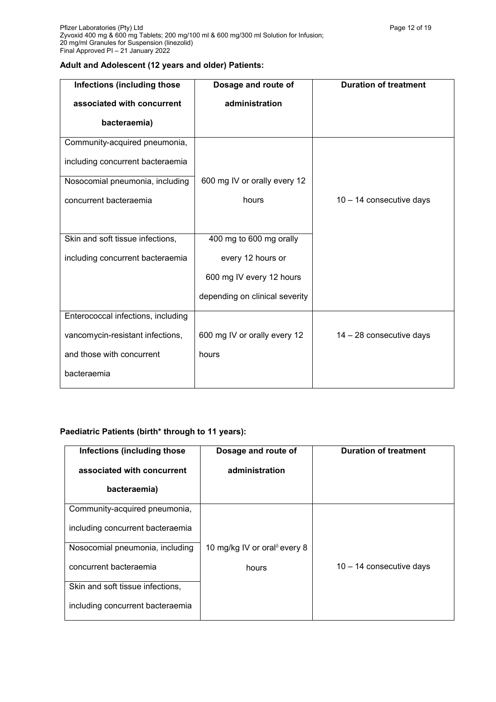# **Adult and Adolescent (12 years and older) Patients:**

| Dosage and route of            | <b>Duration of treatment</b> |
|--------------------------------|------------------------------|
| administration                 |                              |
|                                |                              |
|                                |                              |
|                                |                              |
| 600 mg IV or orally every 12   |                              |
| hours                          | $10 - 14$ consecutive days   |
|                                |                              |
| 400 mg to 600 mg orally        |                              |
| every 12 hours or              |                              |
| 600 mg IV every 12 hours       |                              |
| depending on clinical severity |                              |
|                                |                              |
| 600 mg IV or orally every 12   | 14 - 28 consecutive days     |
| hours                          |                              |
|                                |                              |
|                                |                              |

# **Paediatric Patients (birth\* through to 11 years):**

| Infections (including those      | Dosage and route of                      | <b>Duration of treatment</b> |
|----------------------------------|------------------------------------------|------------------------------|
| associated with concurrent       | administration                           |                              |
| bacteraemia)                     |                                          |                              |
| Community-acquired pneumonia,    |                                          |                              |
| including concurrent bacteraemia |                                          |                              |
| Nosocomial pneumonia, including  | 10 mg/kg IV or oral <sup>8</sup> every 8 |                              |
| concurrent bacteraemia           | hours                                    | $10 - 14$ consecutive days   |
| Skin and soft tissue infections, |                                          |                              |
| including concurrent bacteraemia |                                          |                              |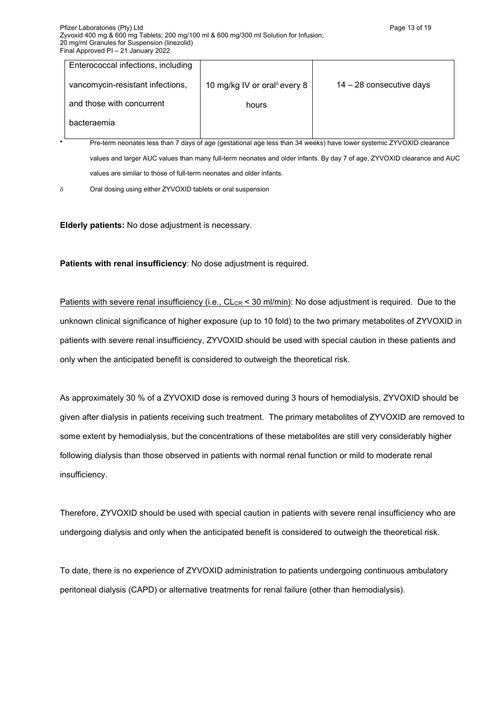| Enterococcal infections, including |                                      |                            |
|------------------------------------|--------------------------------------|----------------------------|
| vancomycin-resistant infections,   | 10 mg/kg IV or oral $\delta$ every 8 | $14 - 28$ consecutive days |
| and those with concurrent          | hours                                |                            |
| bacteraemia                        |                                      |                            |
|                                    |                                      |                            |

**\*** Pre-term neonates less than 7 days of age (gestational age less than 34 weeks) have lower systemic ZYVOXID clearance values and larger AUC values than many full-term neonates and older infants. By day 7 of age, ZYVOXID clearance and AUC values are similar to those of full-term neonates and older infants.

 $\delta$  Oral dosing using either ZYVOXID tablets or oral suspension

**Elderly patients:** No dose adjustment is necessary.

**Patients with renal insufficiency**: No dose adjustment is required.

Patients with severe renal insufficiency (i.e., CL<sub>CR</sub> < 30 ml/min): No dose adjustment is required. Due to the unknown clinical significance of higher exposure (up to 10 fold) to the two primary metabolites of ZYVOXID in patients with severe renal insufficiency, ZYVOXID should be used with special caution in these patients and only when the anticipated benefit is considered to outweigh the theoretical risk.

As approximately 30 % of a ZYVOXID dose is removed during 3 hours of hemodialysis, ZYVOXID should be given after dialysis in patients receiving such treatment. The primary metabolites of ZYVOXID are removed to some extent by hemodialysis, but the concentrations of these metabolites are still very considerably higher following dialysis than those observed in patients with normal renal function or mild to moderate renal insufficiency.

Therefore, ZYVOXID should be used with special caution in patients with severe renal insufficiency who are undergoing dialysis and only when the anticipated benefit is considered to outweigh the theoretical risk.

To date, there is no experience of ZYVOXID administration to patients undergoing continuous ambulatory peritoneal dialysis (CAPD) or alternative treatments for renal failure (other than hemodialysis).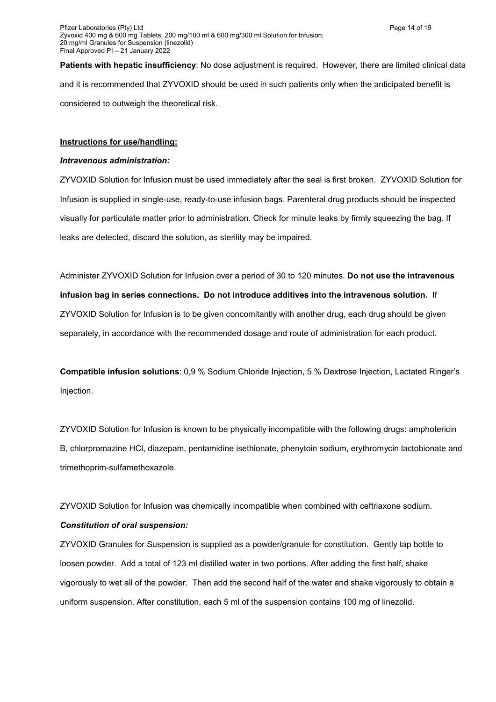**Patients with hepatic insufficiency**: No dose adjustment is required. However, there are limited clinical data and it is recommended that ZYVOXID should be used in such patients only when the anticipated benefit is considered to outweigh the theoretical risk.

### **Instructions for use/handling:**

#### *Intravenous administration:*

ZYVOXID Solution for Infusion must be used immediately after the seal is first broken. ZYVOXID Solution for Infusion is supplied in single-use, ready-to-use infusion bags. Parenteral drug products should be inspected visually for particulate matter prior to administration. Check for minute leaks by firmly squeezing the bag. If leaks are detected, discard the solution, as sterility may be impaired.

Administer ZYVOXID Solution for Infusion over a period of 30 to 120 minutes. **Do not use the intravenous infusion bag in series connections. Do not introduce additives into the intravenous solution.** If ZYVOXID Solution for Infusion is to be given concomitantly with another drug, each drug should be given separately, in accordance with the recommended dosage and route of administration for each product.

**Compatible infusion solutions**: 0,9 % Sodium Chloride Injection, 5 % Dextrose Injection, Lactated Ringer's Injection.

ZYVOXID Solution for Infusion is known to be physically incompatible with the following drugs: amphotericin B, chlorpromazine HCl, diazepam, pentamidine isethionate, phenytoin sodium, erythromycin lactobionate and trimethoprim-sulfamethoxazole.

ZYVOXID Solution for Infusion was chemically incompatible when combined with ceftriaxone sodium.

### *Constitution of oral suspension:*

ZYVOXID Granules for Suspension is supplied as a powder/granule for constitution. Gently tap bottle to loosen powder. Add a total of 123 ml distilled water in two portions. After adding the first half, shake vigorously to wet all of the powder. Then add the second half of the water and shake vigorously to obtain a uniform suspension. After constitution, each 5 ml of the suspension contains 100 mg of linezolid.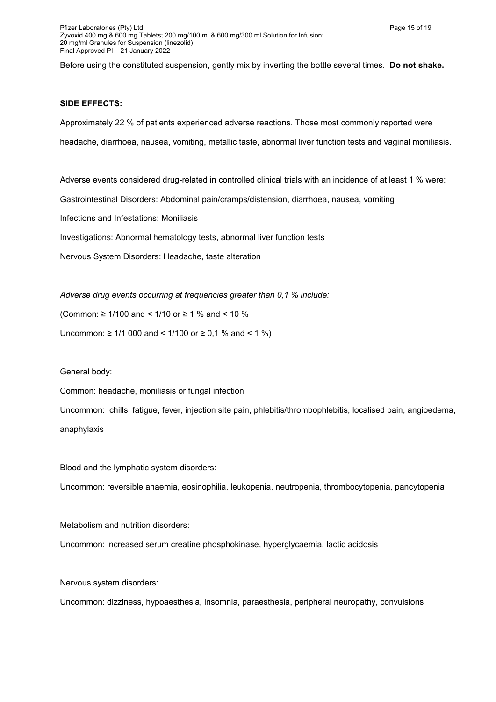Before using the constituted suspension, gently mix by inverting the bottle several times. **Do not shake.**

#### **SIDE EFFECTS:**

Approximately 22 % of patients experienced adverse reactions. Those most commonly reported were headache, diarrhoea, nausea, vomiting, metallic taste, abnormal liver function tests and vaginal moniliasis.

Adverse events considered drug-related in controlled clinical trials with an incidence of at least 1 % were:

Gastrointestinal Disorders: Abdominal pain/cramps/distension, diarrhoea, nausea, vomiting

Infections and Infestations: Moniliasis

Investigations: Abnormal hematology tests, abnormal liver function tests

Nervous System Disorders: Headache, taste alteration

*Adverse drug events occurring at frequencies greater than 0,1 % include:*

(Common: ≥ 1/100 and < 1/10 or ≥ 1 % and < 10 %

Uncommon: ≥ 1/1 000 and < 1/100 or ≥ 0,1 % and < 1 %)

General body:

Common: headache, moniliasis or fungal infection

Uncommon: chills, fatigue, fever, injection site pain, phlebitis/thrombophlebitis, localised pain, angioedema, anaphylaxis

Blood and the lymphatic system disorders:

Uncommon: reversible anaemia, eosinophilia, leukopenia, neutropenia, thrombocytopenia, pancytopenia

Metabolism and nutrition disorders:

Uncommon: increased serum creatine phosphokinase, hyperglycaemia, lactic acidosis

Nervous system disorders:

Uncommon: dizziness, hypoaesthesia, insomnia, paraesthesia, peripheral neuropathy, convulsions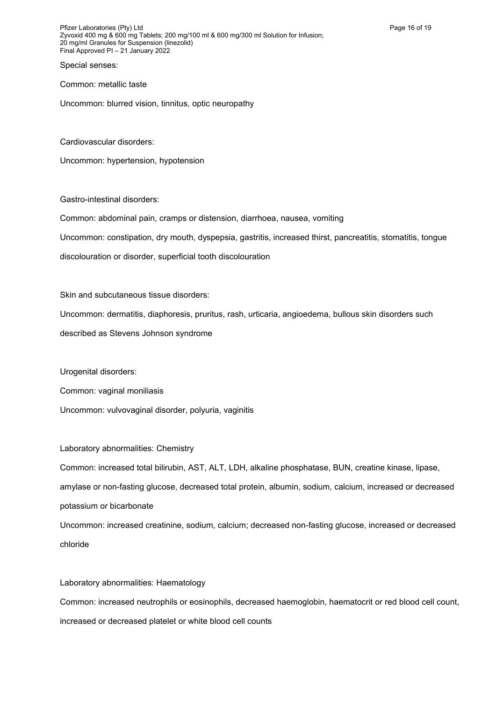Pfizer Laboratories (Pty) Ltd **Page 16 of 19** Page 16 of 19 Zyvoxid 400 mg & 600 mg Tablets; 200 mg/100 ml & 600 mg/300 ml Solution for Infusion; 20 mg/ml Granules for Suspension (linezolid) Final Approved PI – 21 January 2022

Special senses:

Common: metallic taste

Uncommon: blurred vision, tinnitus, optic neuropathy

Cardiovascular disorders:

Uncommon: hypertension, hypotension

Gastro-intestinal disorders:

Common: abdominal pain, cramps or distension, diarrhoea, nausea, vomiting

Uncommon: constipation, dry mouth, dyspepsia, gastritis, increased thirst, pancreatitis, stomatitis, tongue

discolouration or disorder, superficial tooth discolouration

Skin and subcutaneous tissue disorders:

Uncommon: dermatitis, diaphoresis, pruritus, rash, urticaria, angioedema, bullous skin disorders such described as Stevens Johnson syndrome

Urogenital disorders:

Common: vaginal moniliasis

Uncommon: vulvovaginal disorder, polyuria, vaginitis

Laboratory abnormalities: Chemistry

Common: increased total bilirubin, AST, ALT, LDH, alkaline phosphatase, BUN, creatine kinase, lipase, amylase or non-fasting glucose, decreased total protein, albumin, sodium, calcium, increased or decreased potassium or bicarbonate

Uncommon: increased creatinine, sodium, calcium; decreased non-fasting glucose, increased or decreased chloride

Laboratory abnormalities: Haematology

Common: increased neutrophils or eosinophils, decreased haemoglobin, haematocrit or red blood cell count, increased or decreased platelet or white blood cell counts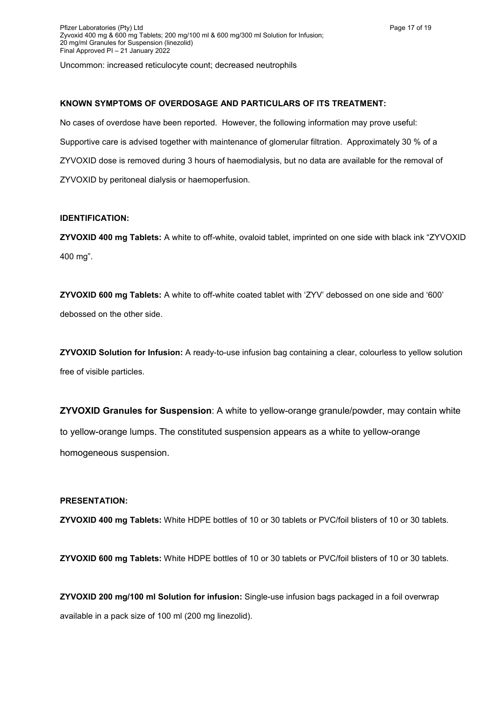Uncommon: increased reticulocyte count; decreased neutrophils

### **KNOWN SYMPTOMS OF OVERDOSAGE AND PARTICULARS OF ITS TREATMENT:**

No cases of overdose have been reported. However, the following information may prove useful: Supportive care is advised together with maintenance of glomerular filtration. Approximately 30 % of a ZYVOXID dose is removed during 3 hours of haemodialysis, but no data are available for the removal of ZYVOXID by peritoneal dialysis or haemoperfusion.

### **IDENTIFICATION:**

**ZYVOXID 400 mg Tablets:** A white to off-white, ovaloid tablet, imprinted on one side with black ink "ZYVOXID 400 mg".

**ZYVOXID 600 mg Tablets:** A white to off-white coated tablet with 'ZYV' debossed on one side and '600' debossed on the other side.

**ZYVOXID Solution for Infusion:** A ready-to-use infusion bag containing a clear, colourless to yellow solution free of visible particles.

**ZYVOXID Granules for Suspension**: A white to yellow-orange granule/powder, may contain white to yellow-orange lumps. The constituted suspension appears as a white to yellow-orange homogeneous suspension.

### **PRESENTATION:**

**ZYVOXID 400 mg Tablets:** White HDPE bottles of 10 or 30 tablets or PVC/foil blisters of 10 or 30 tablets.

**ZYVOXID 600 mg Tablets:** White HDPE bottles of 10 or 30 tablets or PVC/foil blisters of 10 or 30 tablets.

**ZYVOXID 200 mg/100 ml Solution for infusion:** Single-use infusion bags packaged in a foil overwrap available in a pack size of 100 ml (200 mg linezolid).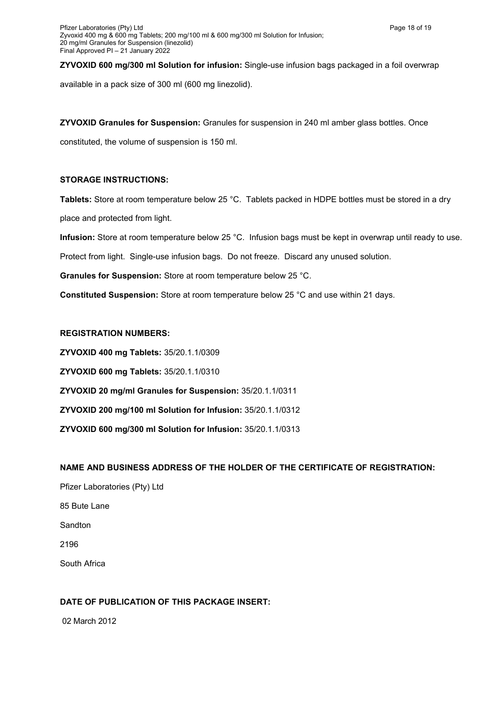**ZYVOXID 600 mg/300 ml Solution for infusion:** Single-use infusion bags packaged in a foil overwrap available in a pack size of 300 ml (600 mg linezolid).

**ZYVOXID Granules for Suspension:** Granules for suspension in 240 ml amber glass bottles. Once

constituted, the volume of suspension is 150 ml.

# **STORAGE INSTRUCTIONS:**

**Tablets:** Store at room temperature below 25 °C. Tablets packed in HDPE bottles must be stored in a dry place and protected from light.

**Infusion:** Store at room temperature below 25 °C. Infusion bags must be kept in overwrap until ready to use.

Protect from light. Single-use infusion bags. Do not freeze. Discard any unused solution.

**Granules for Suspension:** Store at room temperature below 25 °C.

**Constituted Suspension:** Store at room temperature below 25 °C and use within 21 days.

# **REGISTRATION NUMBERS:**

**ZYVOXID 400 mg Tablets:** 35/20.1.1/0309 **ZYVOXID 600 mg Tablets:** 35/20.1.1/0310 **ZYVOXID 20 mg/ml Granules for Suspension:** 35/20.1.1/0311 **ZYVOXID 200 mg/100 ml Solution for Infusion:** 35/20.1.1/0312 **ZYVOXID 600 mg/300 ml Solution for Infusion:** 35/20.1.1/0313

# **NAME AND BUSINESS ADDRESS OF THE HOLDER OF THE CERTIFICATE OF REGISTRATION:**

Pfizer Laboratories (Pty) Ltd 85 Bute Lane Sandton 2196 South Africa

# **DATE OF PUBLICATION OF THIS PACKAGE INSERT:**

02 March 2012